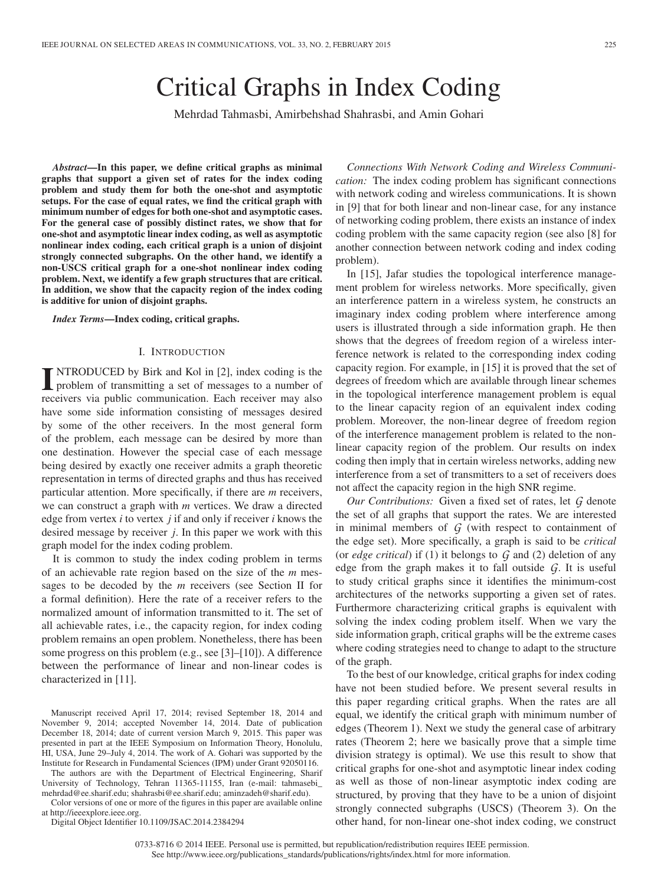# Critical Graphs in Index Coding

Mehrdad Tahmasbi, Amirbehshad Shahrasbi, and Amin Gohari

*Abstract***—In this paper, we define critical graphs as minimal graphs that support a given set of rates for the index coding problem and study them for both the one-shot and asymptotic setups. For the case of equal rates, we find the critical graph with minimum number of edges for both one-shot and asymptotic cases. For the general case of possibly distinct rates, we show that for one-shot and asymptotic linear index coding, as well as asymptotic nonlinear index coding, each critical graph is a union of disjoint strongly connected subgraphs. On the other hand, we identify a non-USCS critical graph for a one-shot nonlinear index coding problem. Next, we identify a few graph structures that are critical. In addition, we show that the capacity region of the index coding is additive for union of disjoint graphs.**

*Index Terms***—Index coding, critical graphs.**

## I. INTRODUCTION

**I** NTRODUCED by Birk and Kol in [2], index coding is the problem of transmitting a set of messages to a number of receivers via public communication. Each receiver may also have some side information consisting of messages desired by some of the other receivers. In the most general form of the problem, each message can be desired by more than one destination. However the special case of each message being desired by exactly one receiver admits a graph theoretic representation in terms of directed graphs and thus has received particular attention. More specifically, if there are *m* receivers, we can construct a graph with *m* vertices. We draw a directed edge from vertex *i* to vertex *j* if and only if receiver *i* knows the desired message by receiver *j*. In this paper we work with this graph model for the index coding problem.

It is common to study the index coding problem in terms of an achievable rate region based on the size of the *m* messages to be decoded by the *m* receivers (see Section II for a formal definition). Here the rate of a receiver refers to the normalized amount of information transmitted to it. The set of all achievable rates, i.e., the capacity region, for index coding problem remains an open problem. Nonetheless, there has been some progress on this problem (e.g., see [3]–[10]). A difference between the performance of linear and non-linear codes is characterized in [11].

The authors are with the Department of Electrical Engineering, Sharif University of Technology, Tehran 11365-11155, Iran (e-mail: tahmasebi\_ mehrdad@ee.sharif.edu; shahrasbi@ee.sharif.edu; aminzadeh@sharif.edu).

Color versions of one or more of the figures in this paper are available online at http://ieeexplore.ieee.org.

Digital Object Identifier 10.1109/JSAC.2014.2384294

*Connections With Network Coding and Wireless Communication:* The index coding problem has significant connections with network coding and wireless communications. It is shown in [9] that for both linear and non-linear case, for any instance of networking coding problem, there exists an instance of index coding problem with the same capacity region (see also [8] for another connection between network coding and index coding problem).

In [15], Jafar studies the topological interference management problem for wireless networks. More specifically, given an interference pattern in a wireless system, he constructs an imaginary index coding problem where interference among users is illustrated through a side information graph. He then shows that the degrees of freedom region of a wireless interference network is related to the corresponding index coding capacity region. For example, in [15] it is proved that the set of degrees of freedom which are available through linear schemes in the topological interference management problem is equal to the linear capacity region of an equivalent index coding problem. Moreover, the non-linear degree of freedom region of the interference management problem is related to the nonlinear capacity region of the problem. Our results on index coding then imply that in certain wireless networks, adding new interference from a set of transmitters to a set of receivers does not affect the capacity region in the high SNR regime.

*Our Contributions:* Given a fixed set of rates, let *G* denote the set of all graphs that support the rates. We are interested in minimal members of  $G$  (with respect to containment of the edge set). More specifically, a graph is said to be *critical* (or *edge critical*) if (1) it belongs to *G* and (2) deletion of any edge from the graph makes it to fall outside *G*. It is useful to study critical graphs since it identifies the minimum-cost architectures of the networks supporting a given set of rates. Furthermore characterizing critical graphs is equivalent with solving the index coding problem itself. When we vary the side information graph, critical graphs will be the extreme cases where coding strategies need to change to adapt to the structure of the graph.

To the best of our knowledge, critical graphs for index coding have not been studied before. We present several results in this paper regarding critical graphs. When the rates are all equal, we identify the critical graph with minimum number of edges (Theorem 1). Next we study the general case of arbitrary rates (Theorem 2; here we basically prove that a simple time division strategy is optimal). We use this result to show that critical graphs for one-shot and asymptotic linear index coding as well as those of non-linear asymptotic index coding are structured, by proving that they have to be a union of disjoint strongly connected subgraphs (USCS) (Theorem 3). On the other hand, for non-linear one-shot index coding, we construct

Manuscript received April 17, 2014; revised September 18, 2014 and November 9, 2014; accepted November 14, 2014. Date of publication December 18, 2014; date of current version March 9, 2015. This paper was presented in part at the IEEE Symposium on Information Theory, Honolulu, HI, USA, June 29–July 4, 2014. The work of A. Gohari was supported by the Institute for Research in Fundamental Sciences (IPM) under Grant 92050116.

<sup>0733-8716 © 2014</sup> IEEE. Personal use is permitted, but republication/redistribution requires IEEE permission. See http://www.ieee.org/publications\_standards/publications/rights/index.html for more information.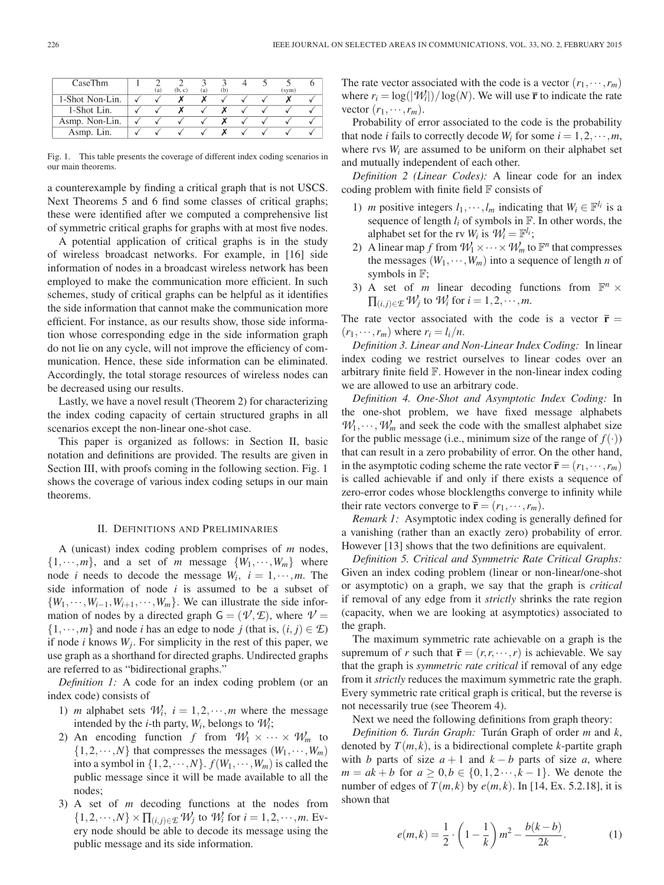| CaseThm         | (a) | (b, c) | (a) | (b |  | (svm) |  |
|-----------------|-----|--------|-----|----|--|-------|--|
| 1-Shot Non-Lin. |     |        |     |    |  |       |  |
| 1-Shot Lin.     |     |        |     |    |  |       |  |
| Asmp. Non-Lin.  |     |        |     |    |  |       |  |
| Asmp. Lin.      |     |        |     |    |  |       |  |

Fig. 1. This table presents the coverage of different index coding scenarios in our main theorems.

a counterexample by finding a critical graph that is not USCS. Next Theorems 5 and 6 find some classes of critical graphs; these were identified after we computed a comprehensive list of symmetric critical graphs for graphs with at most five nodes.

A potential application of critical graphs is in the study of wireless broadcast networks. For example, in [16] side information of nodes in a broadcast wireless network has been employed to make the communication more efficient. In such schemes, study of critical graphs can be helpful as it identifies the side information that cannot make the communication more efficient. For instance, as our results show, those side information whose corresponding edge in the side information graph do not lie on any cycle, will not improve the efficiency of communication. Hence, these side information can be eliminated. Accordingly, the total storage resources of wireless nodes can be decreased using our results.

Lastly, we have a novel result (Theorem 2) for characterizing the index coding capacity of certain structured graphs in all scenarios except the non-linear one-shot case.

This paper is organized as follows: in Section II, basic notation and definitions are provided. The results are given in Section III, with proofs coming in the following section. Fig. 1 shows the coverage of various index coding setups in our main theorems.

### II. DEFINITIONS AND PRELIMINARIES

A (unicast) index coding problem comprises of *m* nodes,  $\{1,\dots,m\}$ , and a set of *m* message  $\{W_1,\dots,W_m\}$  where node *i* needs to decode the message  $W_i$ ,  $i = 1, \dots, m$ . The side information of node *i* is assumed to be a subset of  $\{W_1,\dots,W_{i-1},W_{i+1},\dots,W_m\}$ . We can illustrate the side information of nodes by a directed graph  $G = (\mathcal{V}, \mathcal{E})$ , where  $\mathcal{V} =$  $\{1,\dots,m\}$  and node *i* has an edge to node *j* (that is,  $(i, j) \in \mathcal{L}$ ) if node *i* knows *Wj*. For simplicity in the rest of this paper, we use graph as a shorthand for directed graphs. Undirected graphs are referred to as "bidirectional graphs."

*Definition 1:* A code for an index coding problem (or an index code) consists of

- 1) *m* alphabet sets  $W_i$ ,  $i = 1, 2, \dots, m$  where the message intended by the *i*-th party,  $W_i$ , belongs to  $W_i$ ;
- 2) An encoding function *f* from  $W_1 \times \cdots \times W_m$  to  $\{1,2,\dots,N\}$  that compresses the messages  $(W_1,\dots,W_m)$ into a symbol in  $\{1, 2, \cdots, N\}$ .  $f(W_1, \cdots, W_m)$  is called the public message since it will be made available to all the nodes;
- 3) A set of *m* decoding functions at the nodes from  $\{1,2,\dots,N\} \times \prod_{(i,j) \in \mathcal{E}} \mathcal{W}_j$  to  $\mathcal{W}_i$  for  $i = 1,2,\dots,m$ . Every node should be able to decode its message using the public message and its side information.

The rate vector associated with the code is a vector  $(r_1, \dots, r_m)$ where  $r_i = \log(|\mathcal{W}_i|)/\log(N)$ . We will use  $\bar{\mathbf{r}}$  to indicate the rate vector  $(r_1, \dots, r_m)$ .

Probability of error associated to the code is the probability that node *i* fails to correctly decode  $W_i$  for some  $i = 1, 2, \dots, m$ , where rvs  $W_i$  are assumed to be uniform on their alphabet set and mutually independent of each other.

*Definition 2 (Linear Codes):* A linear code for an index coding problem with finite field F consists of

- 1) *m* positive integers  $l_1, \dots, l_m$  indicating that  $W_i \in \mathbb{F}^{l_i}$  is a sequence of length  $l_i$  of symbols in  $\mathbb{F}$ . In other words, the alphabet set for the rv  $W_i$  is  $W_i = \mathbb{F}^{l_i}$ ;
- 2) A linear map *f* from  $W_1 \times \cdots \times W_m$  to  $\mathbb{F}^n$  that compresses the messages  $(W_1, \dots, W_m)$  into a sequence of length *n* of symbols in  $\mathbb{F}$ ;
- 3) A set of *m* linear decoding functions from  $\mathbb{F}^n$  ×  $\prod_{(i,j)\in\mathcal{I}}\mathcal{W}_j$  to  $\mathcal{W}_i$  for  $i=1,2,\dots,m$ .

The rate vector associated with the code is a vector  $\bar{\mathbf{r}} =$  $(r_1, \dots, r_m)$  where  $r_i = l_i/n$ .

*Definition 3. Linear and Non-Linear Index Coding:* In linear index coding we restrict ourselves to linear codes over an arbitrary finite field F. However in the non-linear index coding we are allowed to use an arbitrary code.

*Definition 4. One-Shot and Asymptotic Index Coding:* In the one-shot problem, we have fixed message alphabets  $W_1, \dots, W_m$  and seek the code with the smallest alphabet size for the public message (i.e., minimum size of the range of  $f(.)$ ) that can result in a zero probability of error. On the other hand, in the asymptotic coding scheme the rate vector  $\mathbf{\bar{r}} = (r_1, \dots, r_m)$ is called achievable if and only if there exists a sequence of zero-error codes whose blocklengths converge to infinity while their rate vectors converge to  $\bar{\mathbf{r}} = (r_1, \dots, r_m)$ .

*Remark 1:* Asymptotic index coding is generally defined for a vanishing (rather than an exactly zero) probability of error. However [13] shows that the two definitions are equivalent.

*Definition 5. Critical and Symmetric Rate Critical Graphs:* Given an index coding problem (linear or non-linear/one-shot or asymptotic) on a graph, we say that the graph is *critical* if removal of any edge from it *strictly* shrinks the rate region (capacity, when we are looking at asymptotics) associated to the graph.

The maximum symmetric rate achievable on a graph is the supremum of *r* such that  $\overline{\mathbf{r}} = (r, r, \dots, r)$  is achievable. We say that the graph is *symmetric rate critical* if removal of any edge from it *strictly* reduces the maximum symmetric rate the graph. Every symmetric rate critical graph is critical, but the reverse is not necessarily true (see Theorem 4).

Next we need the following definitions from graph theory:

*Definition 6. Turán Graph:* Turán Graph of order *m* and *k*, denoted by  $T(m, k)$ , is a bidirectional complete *k*-partite graph with *b* parts of size  $a + 1$  and  $k - b$  parts of size *a*, where *m* =  $ak + b$  for  $a \ge 0, b \in \{0, 1, 2 \cdots, k - 1\}$ . We denote the number of edges of  $T(m, k)$  by  $e(m, k)$ . In [14, Ex. 5.2.18], it is shown that

$$
e(m,k) = \frac{1}{2} \cdot \left(1 - \frac{1}{k}\right) m^2 - \frac{b(k-b)}{2k}.
$$
 (1)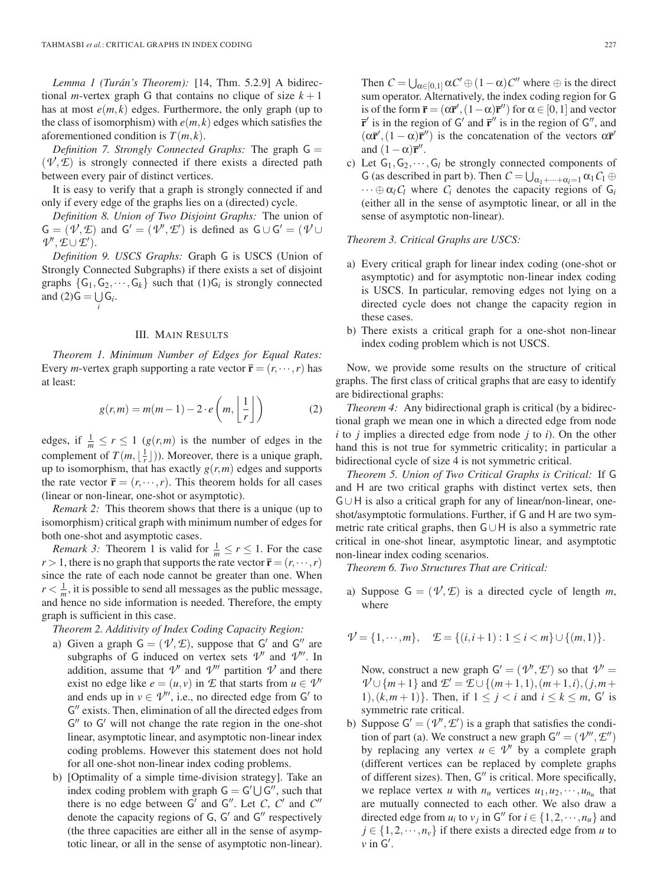*Lemma 1 (Turán's Theorem):* [14, Thm. 5.2.9] A bidirectional *m*-vertex graph G that contains no clique of size  $k + 1$ has at most  $e(m, k)$  edges. Furthermore, the only graph (up to the class of isomorphism) with  $e(m, k)$  edges which satisfies the aforementioned condition is  $T(m, k)$ .

*Definition 7. Strongly Connected Graphs:* The graph G =  $(V, E)$  is strongly connected if there exists a directed path between every pair of distinct vertices.

It is easy to verify that a graph is strongly connected if and only if every edge of the graphs lies on a (directed) cycle.

*Definition 8. Union of Two Disjoint Graphs:* The union of  $G = (\mathcal{V}, \mathcal{L})$  and  $G' = (\mathcal{V}', \mathcal{L}')$  is defined as  $G \cup G' = (\mathcal{V} \cup$  $\mathcal{V}', \mathcal{E} \cup \mathcal{E}'.$ 

*Definition 9. USCS Graphs:* Graph G is USCS (Union of Strongly Connected Subgraphs) if there exists a set of disjoint graphs  $\{G_1, G_2, \dots, G_k\}$  such that  $(1)G_i$  is strongly connected and  $(2)G = \bigcup G_i$ . *i*

#### III. MAIN RESULTS

*Theorem 1. Minimum Number of Edges for Equal Rates:* Every *m*-vertex graph supporting a rate vector  $\mathbf{\bar{r}} = (r, \dots, r)$  has at least:

$$
g(r,m) = m(m-1) - 2 \cdot e\left(m, \left\lfloor \frac{1}{r} \right\rfloor\right)
$$
 (2)

edges, if  $\frac{1}{m} \le r \le 1$  ( $g(r,m)$  is the number of edges in the complement of  $T(m, \lfloor \frac{1}{r} \rfloor)$ ). Moreover, there is a unique graph, up to isomorphism, that has exactly  $g(r, m)$  edges and supports the rate vector  $\bar{\mathbf{r}} = (r, \dots, r)$ . This theorem holds for all cases (linear or non-linear, one-shot or asymptotic).

*Remark 2:* This theorem shows that there is a unique (up to isomorphism) critical graph with minimum number of edges for both one-shot and asymptotic cases.

*Remark 3:* Theorem 1 is valid for  $\frac{1}{m} \le r \le 1$ . For the case  $r > 1$ , there is no graph that supports the rate vector  $\mathbf{\bar{r}} = (r, \dots, r)$ since the rate of each node cannot be greater than one. When  $r < \frac{1}{m}$ , it is possible to send all messages as the public message, and hence no side information is needed. Therefore, the empty graph is sufficient in this case.

*Theorem 2. Additivity of Index Coding Capacity Region:*

- a) Given a graph  $G = (\mathcal{V}, \mathcal{E})$ , suppose that G' and G'' are subgraphs of G induced on vertex sets  $\mathcal{V}'$  and  $\mathcal{V}''$ . In addition, assume that  $V'$  and  $V''$  partition  $V$  and there exist no edge like  $e = (u, v)$  in  $E$  that starts from  $u \in V'$ and ends up in  $v \in \mathcal{V}''$ , i.e., no directed edge from  $G'$  to  $G''$  exists. Then, elimination of all the directed edges from  $G''$  to  $G'$  will not change the rate region in the one-shot linear, asymptotic linear, and asymptotic non-linear index coding problems. However this statement does not hold for all one-shot non-linear index coding problems.
- b) [Optimality of a simple time-division strategy]. Take an index coding problem with graph  $G = G' \cup G''$ , such that there is no edge between  $G'$  and  $G''$ . Let  $C$ ,  $C'$  and  $C''$ denote the capacity regions of  $G$ ,  $G'$  and  $G''$  respectively (the three capacities are either all in the sense of asymptotic linear, or all in the sense of asymptotic non-linear).

Then  $C = \bigcup_{\alpha \in [0,1]} \alpha C' \oplus (1 - \alpha) C''$  where  $\oplus$  is the direct sum operator. Alternatively, the index coding region for G is of the form  $\mathbf{\bar{r}} = (\alpha \mathbf{\bar{r}}', (1 - \alpha)\mathbf{\bar{r}}'')$  for  $\alpha \in [0, 1]$  and vector  $\mathbf{\bar{r}}'$  is in the region of G' and  $\mathbf{\bar{r}}''$  is in the region of G'', and  $(\alpha \vec{r}', (1 - \alpha)\vec{r}')$  is the concatenation of the vectors  $\alpha \vec{r}'$ and  $(1-\alpha)\mathbf{\bar{r}}^{"}$ .

c) Let  $G_1, G_2, \dots, G_l$  be strongly connected components of G (as described in part b). Then  $C = \bigcup_{\alpha_1 + \dots + \alpha_l = 1} \alpha_1 C_1 \oplus$  $\cdots \oplus \alpha_l C_l$  where  $C_i$  denotes the capacity regions of  $G_i$ (either all in the sense of asymptotic linear, or all in the sense of asymptotic non-linear).

#### *Theorem 3. Critical Graphs are USCS:*

- a) Every critical graph for linear index coding (one-shot or asymptotic) and for asymptotic non-linear index coding is USCS. In particular, removing edges not lying on a directed cycle does not change the capacity region in these cases.
- b) There exists a critical graph for a one-shot non-linear index coding problem which is not USCS.

Now, we provide some results on the structure of critical graphs. The first class of critical graphs that are easy to identify are bidirectional graphs:

*Theorem 4:* Any bidirectional graph is critical (by a bidirectional graph we mean one in which a directed edge from node *i* to *j* implies a directed edge from node *j* to *i*). On the other hand this is not true for symmetric criticality; in particular a bidirectional cycle of size 4 is not symmetric critical.

*Theorem 5. Union of Two Critical Graphs is Critical:* If G and H are two critical graphs with distinct vertex sets, then G∪ H is also a critical graph for any of linear/non-linear, oneshot/asymptotic formulations. Further, if G and H are two symmetric rate critical graphs, then G∪ H is also a symmetric rate critical in one-shot linear, asymptotic linear, and asymptotic non-linear index coding scenarios.

*Theorem 6. Two Structures That are Critical:*

a) Suppose  $G = (\mathcal{V}, \mathcal{E})$  is a directed cycle of length *m*, where

$$
\mathcal{V} = \{1, \cdots, m\}, \quad \mathcal{L} = \{(i, i+1) : 1 \le i < m\} \cup \{(m, 1)\}.
$$

Now, construct a new graph  $G' = (\mathcal{V}', \mathcal{E}')$  so that  $\mathcal{V}' =$ *V* ∪ { $m+1$ } and  $E' = E \cup \{(m+1,1), (m+1,i), (j,m+1)\}$ 1),  $(k,m+1)$ . Then, if  $1 \leq j < i$  and  $i \leq k \leq m$ , G' is symmetric rate critical.

b) Suppose  $G' = (\mathcal{V}', \mathcal{L}')$  is a graph that satisfies the condition of part (a). We construct a new graph  $G'' = (\mathcal{V}''', \mathcal{E}'')$ by replacing any vertex  $u \in \mathcal{V}'$  by a complete graph (different vertices can be replaced by complete graphs of different sizes). Then,  $G''$  is critical. More specifically, we replace vertex *u* with  $n_u$  vertices  $u_1, u_2, \dots, u_{n_u}$  that are mutually connected to each other. We also draw a directed edge from  $u_i$  to  $v_j$  in  $G''$  for  $i \in \{1, 2, \dots, n_u\}$  and  $j \in \{1, 2, \dots, n_v\}$  if there exists a directed edge from *u* to *v* in G .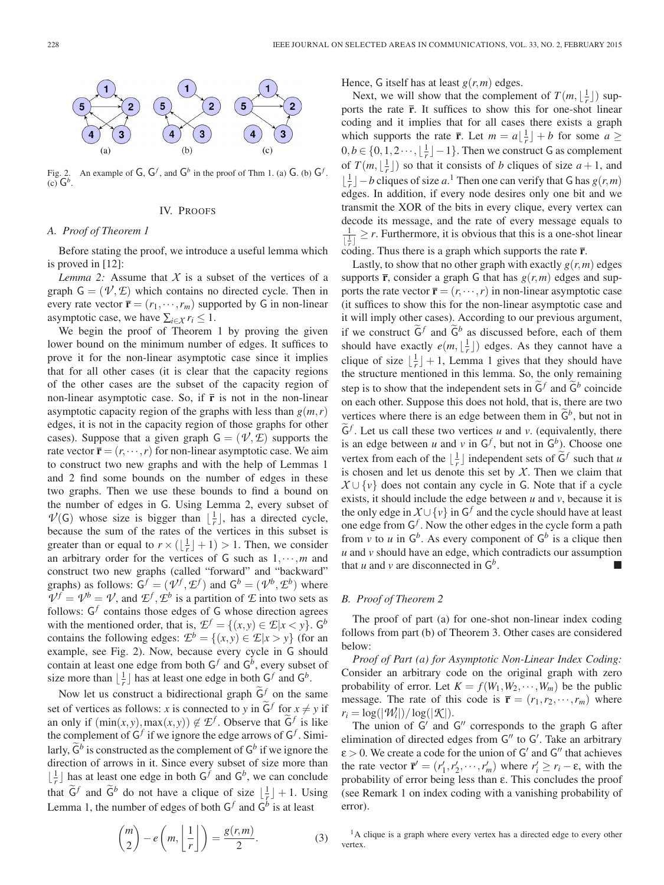

Fig. 2. An example of  $G$ ,  $G^f$ , and  $G^b$  in the proof of Thm 1. (a)  $G$ . (b)  $G^f$ .  $(c)$  $G<sup>b</sup>$ .

#### IV. PROOFS

#### *A. Proof of Theorem 1*

Before stating the proof, we introduce a useful lemma which is proved in [12]:

*Lemma 2:* Assume that  $X$  is a subset of the vertices of a graph  $G = (\mathcal{V}, \mathcal{E})$  which contains no directed cycle. Then in every rate vector  $\mathbf{\bar{r}} = (r_1, \dots, r_m)$  supported by G in non-linear asymptotic case, we have  $\sum_{i \in \mathcal{X}} r_i \leq 1$ .

We begin the proof of Theorem 1 by proving the given lower bound on the minimum number of edges. It suffices to prove it for the non-linear asymptotic case since it implies that for all other cases (it is clear that the capacity regions of the other cases are the subset of the capacity region of non-linear asymptotic case. So, if  $\bar{r}$  is not in the non-linear asymptotic capacity region of the graphs with less than  $g(m,r)$ edges, it is not in the capacity region of those graphs for other cases). Suppose that a given graph  $G = (\mathcal{V}, \mathcal{E})$  supports the rate vector  $\mathbf{\bar{r}} = (r, \dots, r)$  for non-linear asymptotic case. We aim to construct two new graphs and with the help of Lemmas 1 and 2 find some bounds on the number of edges in these two graphs. Then we use these bounds to find a bound on the number of edges in G. Using Lemma 2, every subset of  $V(G)$  whose size is bigger than  $\lfloor \frac{1}{r} \rfloor$ , has a directed cycle, because the sum of the rates of the vertices in this subset is greater than or equal to  $r \times (\lfloor \frac{1}{r} \rfloor + 1) > 1$ . Then, we consider an arbitrary order for the vertices of G such as  $1, \dots, m$  and construct two new graphs (called "forward" and "backward" graphs) as follows:  $G^f = (\mathcal{V}^f, \mathcal{L}^f)$  and  $G^b = (\mathcal{V}^b, \mathcal{L}^b)$  where  $V^f = V^b = V$ , and  $\mathcal{L}^f$ ,  $\mathcal{L}^b$  is a partition of  $\mathcal L$  into two sets as follows:  $G<sup>f</sup>$  contains those edges of G whose direction agrees with the mentioned order, that is,  $\mathcal{L}^f = \{(x, y) \in \mathcal{L} | x \lt y\}$ .  $G^b$ contains the following edges:  $\mathcal{L}^b = \{(x, y) \in \mathcal{L} | x > y\}$  (for an example, see Fig. 2). Now, because every cycle in G should contain at least one edge from both  $G^f$  and  $G^b$ , every subset of size more than  $\lfloor \frac{1}{r} \rfloor$  has at least one edge in both  $G^f$  and  $G^b$ .

Now let us construct a bidirectional graph  $\tilde{G}^f$  on the same set of vertices as follows: *x* is connected to *y* in  $G^f$  for  $x \neq y$  if an only if  $(\min(x, y), \max(x, y)) \notin \mathcal{E}^f$ . Observe that  $\tilde{G}^f$  is like the complement of  $G^f$  if we ignore the edge arrows of  $G^f$ . Similarly,  $G^b$  is constructed as the complement of  $G^b$  if we ignore the direction of arrows in it. Since every subset of size more than  $\lfloor \frac{1}{r} \rfloor$  has at least one edge in both  $G^f$  and  $G^b$ , we can conclude that  $\tilde{G}^f$  and  $\tilde{G}^b$  do not have a clique of size  $\lfloor \frac{1}{r} \rfloor + 1$ . Using Lemma 1, the number of edges of both  $G^f$  and  $G^b$  is at least

$$
\binom{m}{2} - e\left(m, \left\lfloor \frac{1}{r} \right\rfloor\right) = \frac{g(r, m)}{2}.
$$
 (3)

Hence, G itself has at least  $g(r, m)$  edges.

Next, we will show that the complement of  $T(m, \lfloor \frac{1}{r} \rfloor)$  supports the rate **r**. It suffices to show this for one-shot linear coding and it implies that for all cases there exists a graph which supports the rate **r**. Let  $m = a \left\lfloor \frac{1}{r} \right\rfloor + b$  for some  $a \geq$  $0, b \in \{0, 1, 2 \cdots, \lfloor \frac{1}{r} \rfloor - 1\}$ . Then we construct G as complement of  $T(m, \lfloor \frac{1}{r} \rfloor)$  so that it consists of *b* cliques of size  $a + 1$ , and  $\lfloor \frac{1}{r} \rfloor$  − *b* cliques of size *a*.<sup>1</sup> Then one can verify that G has *g*(*r*,*m*) edges. In addition, if every node desires only one bit and we transmit the XOR of the bits in every clique, every vertex can decode its message, and the rate of every message equals to  $\frac{1}{\lfloor \frac{1}{r} \rfloor}$   $\geq r$ . Furthermore, it is obvious that this is a one-shot linear coding. Thus there is a graph which supports the rate **r**.

Lastly, to show that no other graph with exactly  $g(r, m)$  edges supports  $\bar{\mathbf{r}}$ , consider a graph G that has  $g(r, m)$  edges and supports the rate vector  $\mathbf{\bar{r}} = (r, \dots, r)$  in non-linear asymptotic case (it suffices to show this for the non-linear asymptotic case and it will imply other cases). According to our previous argument, if we construct  $\tilde{\mathsf{G}}^f$  and  $\tilde{\mathsf{G}}^b$  as discussed before, each of them should have exactly  $e(m, \lfloor \frac{1}{r} \rfloor)$  edges. As they cannot have a clique of size  $\lfloor \frac{1}{r} \rfloor + 1$ , Lemma 1 gives that they should have the structure mentioned in this lemma. So, the only remaining step is to show that the independent sets in  $\tilde{\mathsf{G}}^f$  and  $\tilde{\mathsf{G}}^b$  coincide on each other. Suppose this does not hold, that is, there are two vertices where there is an edge between them in  $G<sup>b</sup>$ , but not in  $\widetilde{\mathsf{G}}^f$ . Let us call these two vertices *u* and *v*. (equivalently, there is an edge between *u* and *v* in  $G^f$ , but not in  $G^b$ ). Choose one vertex from each of the  $\lfloor \frac{1}{r} \rfloor$  independent sets of  $\tilde{G}^f$  such that *u* is chosen and let us denote this set by  $X$ . Then we claim that  $X \cup \{v\}$  does not contain any cycle in G. Note that if a cycle exists, it should include the edge between *u* and *v*, because it is the only edge in  $\mathcal{X} \cup \{v\}$  in  $G^f$  and the cycle should have at least one edge from  $G<sup>f</sup>$ . Now the other edges in the cycle form a path from *v* to *u* in  $G^b$ . As every component of  $G^b$  is a clique then *u* and *v* should have an edge, which contradicts our assumption that *u* and *v* are disconnected in  $G^b$ .

#### *B. Proof of Theorem 2*

The proof of part (a) for one-shot non-linear index coding follows from part (b) of Theorem 3. Other cases are considered below:

*Proof of Part (a) for Asymptotic Non-Linear Index Coding:* Consider an arbitrary code on the original graph with zero probability of error. Let  $K = f(W_1, W_2, \dots, W_m)$  be the public message. The rate of this code is  $\mathbf{\bar{r}} = (r_1, r_2, \dots, r_m)$  where  $r_i = \log(|\mathcal{W}_i|)/\log(|\mathcal{K}|).$ 

The union of  $G'$  and  $G''$  corresponds to the graph G after elimination of directed edges from G" to G'. Take an arbitrary  $\varepsilon > 0$ . We create a code for the union of G' and G'' that achieves the rate vector  $\mathbf{\bar{r}}' = (r'_1, r'_2, \dots, r'_m)$  where  $r'_i \ge r_i - \varepsilon$ , with the probability of error being less than ε. This concludes the proof (see Remark 1 on index coding with a vanishing probability of error).

<sup>1</sup>A clique is a graph where every vertex has a directed edge to every other vertex.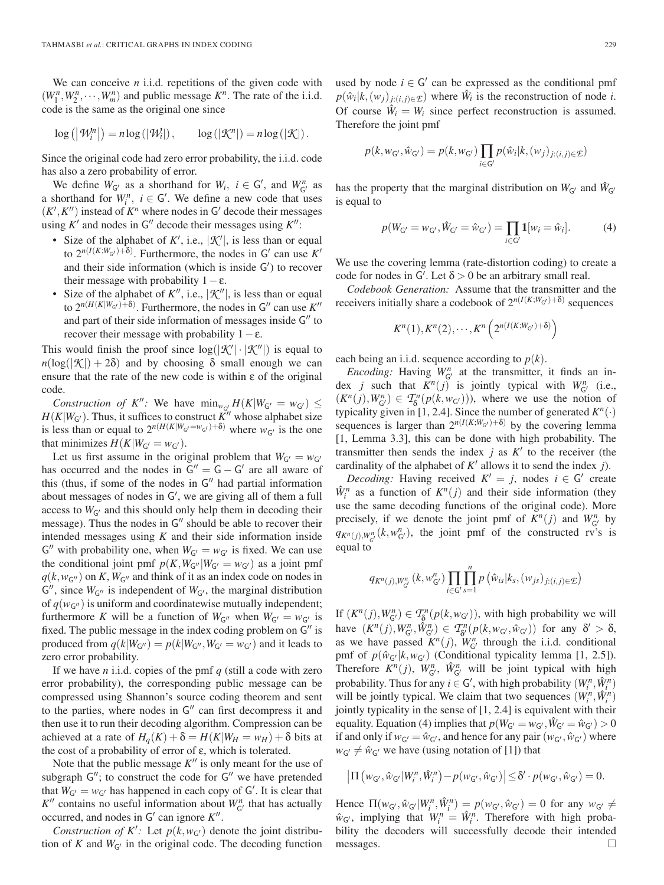We can conceive *n* i.i.d. repetitions of the given code with  $(W_1^n, W_2^n, \dots, W_m^n)$  and public message  $K^n$ . The rate of the i.i.d. code is the same as the original one since

$$
\log\left(\left|\mathcal{W}_{i}^{n}\right|\right)=n\log\left(\left|\mathcal{W}_{i}^{1}\right|\right),\qquad\log\left(\left|\mathcal{K}^{n}\right|\right)=n\log\left(\left|\mathcal{K}\right|\right).
$$

Since the original code had zero error probability, the i.i.d. code has also a zero probability of error.

We define  $W_{G'}$  as a shorthand for  $W_i$ ,  $i \in G'$ , and  $W_{G'}^n$  as a shorthand for  $W_i^n$ ,  $i \in G'$ . We define a new code that uses  $(K', K'')$  instead of  $K^n$  where nodes in G' decode their messages using  $K'$  and nodes in  $G''$  decode their messages using  $K''$ :

- Size of the alphabet of  $K'$ , i.e.,  $|\mathcal{K}'|$ , is less than or equal to  $2^{n(I(K;W_{G})+\delta)}$ . Furthermore, the nodes in G' can use K' and their side information (which is inside  $G'$ ) to recover their message with probability  $1 - \varepsilon$ .
- Size of the alphabet of  $K''$ , i.e.,  $|\mathcal{K}''|$ , is less than or equal to  $2^{n(H(K|W_{G'})+\delta)}$ . Furthermore, the nodes in G'' can use  $K''$ and part of their side information of messages inside  $G''$  to recover their message with probability  $1 - \varepsilon$ .

This would finish the proof since  $log(|\mathcal{K}'| \cdot |\mathcal{K}''|)$  is equal to  $n(\log(|\mathcal{K}|) + 2\delta)$  and by choosing  $\delta$  small enough we can ensure that the rate of the new code is within ε of the original code.

*Construction of K<sup>n</sup>*: We have  $\min_{w_{c'}} H(K|W_{G'} = w_{G'}) \le$  $H(K|W_{G'})$ . Thus, it suffices to construct  $K''$  whose alphabet size is less than or equal to  $2^{n(H(K|W_G=w_G))+\delta)}$  where  $w_G$  is the one that minimizes  $H(K|W_{G'} = w_{G'})$ .

Let us first assume in the original problem that  $W_{G'} = w_{G'}$ has occurred and the nodes in  $G'' = G - G'$  are all aware of this (thus, if some of the nodes in  $G''$  had partial information about messages of nodes in G , we are giving all of them a full access to  $W_{G'}$  and this should only help them in decoding their message). Thus the nodes in  $G''$  should be able to recover their intended messages using *K* and their side information inside G'' with probability one, when  $W_{G'} = w_{G'}$  is fixed. We can use the conditional joint pmf  $p(K, W_{G} | W_{G'} = w_{G'})$  as a joint pmf  $q(k, w_{\mathsf{G''}})$  on *K*,  $W_{\mathsf{G''}}$  and think of it as an index code on nodes in  $G''$ , since  $W_{G''}$  is independent of  $W_{G'}$ , the marginal distribution of  $q(w_{\mathsf{G''}})$  is uniform and coordinatewise mutually independent; furthermore *K* will be a function of  $W_{G''}$  when  $W_{G'} = w_{G'}$  is fixed. The public message in the index coding problem on  $G''$  is produced from  $q(k|W_{G''}) = p(k|W_{G''}, W_{G'} = w_{G'})$  and it leads to zero error probability.

If we have *n* i.i.d. copies of the pmf *q* (still a code with zero error probability), the corresponding public message can be compressed using Shannon's source coding theorem and sent to the parties, where nodes in  $G''$  can first decompress it and then use it to run their decoding algorithm. Compression can be achieved at a rate of  $H_q(K) + \delta = H(K|W_H = w_H) + \delta$  bits at the cost of a probability of error of ε, which is tolerated.

Note that the public message  $K''$  is only meant for the use of subgraph  $G''$ ; to construct the code for  $G''$  we have pretended that  $W_{G'} = w_{G'}$  has happened in each copy of  $G'$ . It is clear that  $K''$  contains no useful information about  $W_{G'}^n$  that has actually occurred, and nodes in  $G'$  can ignore  $K''$ .

*Construction of*  $K'$ : Let  $p(k, w_G)$  denote the joint distribution of  $K$  and  $W_{G'}$  in the original code. The decoding function used by node  $i \in G'$  can be expressed as the conditional pmf  $p(\hat{w}_i|k,(w_j)_{j:(i,j)\in\mathcal{I}})$  where  $\hat{W}_i$  is the reconstruction of node *i*. Of course  $\hat{W}_i = W_i$  since perfect reconstruction is assumed. Therefore the joint pmf

$$
p(k, w_{\mathsf{G}'}, \hat{w}_{\mathsf{G}'}) = p(k, w_{\mathsf{G}'}) \prod_{i \in \mathsf{G}'} p(\hat{w}_i | k, (w_j)_{j:(i,j) \in \mathcal{I}})
$$

has the property that the marginal distribution on  $W_{\mathsf{G'}}$  and  $W_{\mathsf{G'}}$ is equal to

$$
p(W_{G'} = w_{G'}, \hat{W}_{G'} = \hat{w}_{G'}) = \prod_{i \in G'} \mathbf{1}[w_i = \hat{w}_i].
$$
 (4)

We use the covering lemma (rate-distortion coding) to create a code for nodes in  $G'$ . Let  $\delta > 0$  be an arbitrary small real.

*Codebook Generation:* Assume that the transmitter and the receivers initially share a codebook of  $2^{n(I(K;W_{G})+\delta)}$  sequences

$$
K^{n}(1), K^{n}(2), \cdots, K^{n}\left(2^{n(I(K;W_{G'})+\delta)}\right)
$$

each being an i.i.d. sequence according to  $p(k)$ .

*Encoding:* Having  $W_{G}^{n}$  at the transmitter, it finds an index *j* such that  $K^n(j)$  is jointly typical with  $W_{G}^n$  (i.e.,  $(K^n(j), W^n_{G'}) \in T^n_{\delta}(p(k, w_{G'})))$ , where we use the notion of typicality given in [1, 2.4]. Since the number of generated  $K^n(\cdot)$ sequences is larger than  $2^{n(I(K;W_{G'})+\delta)}$  by the covering lemma [1, Lemma 3.3], this can be done with high probability. The transmitter then sends the index  $j$  as  $K'$  to the receiver (the cardinality of the alphabet of  $K'$  allows it to send the index *j*).

*Decoding:* Having received  $K' = j$ , nodes  $i \in G'$  create  $\hat{W}_i^n$  as a function of  $K^n(j)$  and their side information (they use the same decoding functions of the original code). More precisely, if we denote the joint pmf of  $K^n(j)$  and  $W^n_{G}$  by  $q_{K^n(j),W^n_{G'}}(k, w^n_{G'})$ , the joint pmf of the constructed rv's is equal to

$$
q_{K^{n}(j),W_{G'}^{n}}(k,w_{G'}^{n})\prod_{i\in G'}\prod_{s=1}^{n}p\left(\hat{w}_{is}|k_{s},(w_{js})_{j:(i,j)\in E}\right)
$$

If  $(K^n(j), W^n_{G'}) \in T^n_{\delta}(p(k, w_{G'}))$ , with high probability we will have  $(K^n(j), W_{\mathsf{G}'}^n, \hat{W}_{\mathsf{G}'}^n) \in \mathcal{T}_{\delta'}^n(p(k, w_{\mathsf{G}'}, \hat{w}_{\mathsf{G}'}))$  for any  $\delta' > \delta$ , as we have passed  $K^n(j)$ ,  $W_{\mathsf{G}'}^n$  through the i.i.d. conditional pmf of  $p(\hat{w}_{G'}|k, w_{G'})$  (Conditional typicality lemma [1, 2.5]). Therefore  $K^n(j)$ ,  $W_{G'}^n$ ,  $\hat{W}_{G'}^n$  will be joint typical with high probability. Thus for any  $i \in G'$ , with high probability  $(W_i^n, \hat{W}_i^n)$ will be jointly typical. We claim that two sequences  $(W_i^n, \hat{W}_i^n)$ jointly typicality in the sense of [1, 2.4] is equivalent with their equality. Equation (4) implies that  $p(W_{G'} = w_{G'}, \hat{W}_{G'} = \hat{w}_{G'}) > 0$ if and only if  $w_{\mathsf{G'}} = \hat{w}_{\mathsf{G'}}$ , and hence for any pair  $(w_{\mathsf{G'}}, \hat{w}_{\mathsf{G'}})$  where  $w_{\mathsf{G'}} \neq \hat{w}_{\mathsf{G'}}$  we have (using notation of [1]) that

$$
\left|\Pi\left(w_{\mathsf{G}'},\hat{w}_{\mathsf{G}'}|W_{i}^{n},\hat{W}_{i}^{n}\right)-p(w_{\mathsf{G}'},\hat{w}_{\mathsf{G}'})\right|\leq \delta'\cdot p(w_{\mathsf{G}'},\hat{w}_{\mathsf{G}'})=0.
$$

Hence  $\Pi(w_{G'}, \hat{w}_{G'} | W_i^n, \hat{W}_i^n) = p(w_{G'}, \hat{w}_{G'}) = 0$  for any  $w_{G'} \neq$  $\hat{w}_{G'}$ , implying that  $W_i^n = \hat{W}_i^n$ . Therefore with high probability the decoders will successfully decode their intended messages.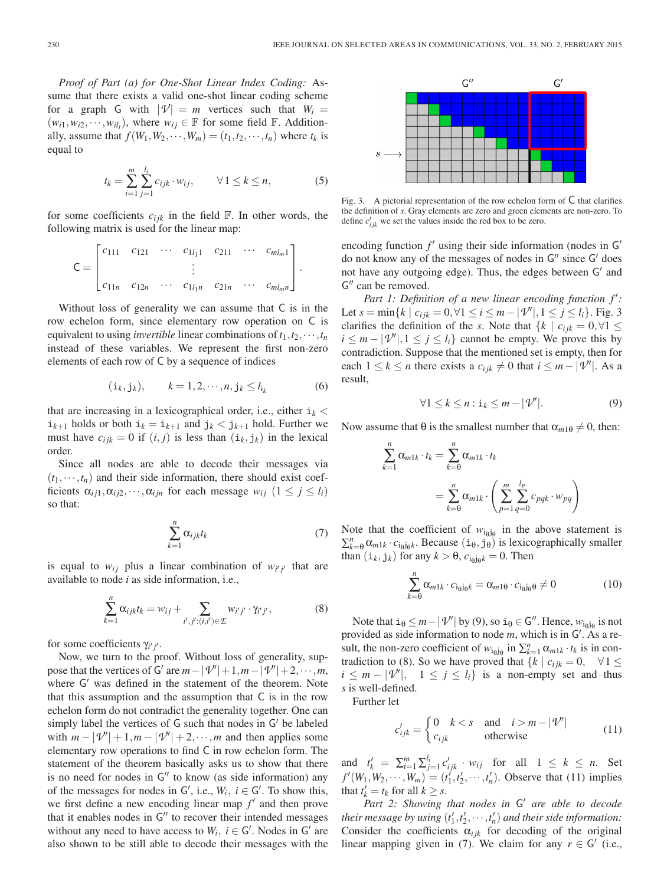*Proof of Part (a) for One-Shot Linear Index Coding:* Assume that there exists a valid one-shot linear coding scheme for a graph G with  $|\mathcal{V}| = m$  vertices such that  $W_i =$  $(w_{i1}, w_{i2}, \dots, w_{il_i})$ , where  $w_{ij} \in \mathbb{F}$  for some field  $\mathbb{F}$ . Additionally, assume that  $f(W_1, W_2, \dots, W_m) = (t_1, t_2, \dots, t_n)$  where  $t_k$  is equal to

$$
t_k = \sum_{i=1}^{m} \sum_{j=1}^{l_i} c_{ijk} \cdot w_{ij}, \qquad \forall 1 \le k \le n,
$$
 (5)

for some coefficients  $c_{ijk}$  in the field  $\mathbb F$ . In other words, the following matrix is used for the linear map:

$$
C = \begin{bmatrix} c_{111} & c_{121} & \cdots & c_{1l_11} & c_{211} & \cdots & c_{ml_m1} \\ \vdots & & \vdots & & \vdots \\ c_{11n} & c_{12n} & \cdots & c_{1l_1n} & c_{21n} & \cdots & c_{ml_mn} \end{bmatrix}.
$$

Without loss of generality we can assume that C is in the row echelon form, since elementary row operation on C is equivalent to using *invertible* linear combinations of  $t_1, t_2, \dots, t_n$ instead of these variables. We represent the first non-zero elements of each row of C by a sequence of indices

$$
(\mathbf{i}_k, \mathbf{j}_k), \qquad k = 1, 2, \cdots, n, \mathbf{j}_k \le l_{\mathbf{i}_k} \tag{6}
$$

that are increasing in a lexicographical order, i.e., either  $i_k$  <  $i_{k+1}$  holds or both  $i_k = i_{k+1}$  and  $j_k < j_{k+1}$  hold. Further we must have  $c_{ijk} = 0$  if  $(i, j)$  is less than  $(i_k, j_k)$  in the lexical order.

Since all nodes are able to decode their messages via  $(t_1, \dots, t_n)$  and their side information, there should exist coefficients  $\alpha_{ij1}, \alpha_{ij2}, \cdots, \alpha_{ijn}$  for each message  $w_{ij}$   $(1 \leq j \leq l_i)$ so that:

$$
\sum_{k=1}^{n} \alpha_{ijk} t_k \tag{7}
$$

is equal to  $w_{ij}$  plus a linear combination of  $w_{i'j'}$  that are available to node *i* as side information, i.e.,

$$
\sum_{k=1}^{n} \alpha_{ijk} t_k = w_{ij} + \sum_{i',j':(i,i') \in \mathcal{I}} w_{i'j'} \cdot \gamma_{i'j'}, \tag{8}
$$

for some coefficients γ<sub>*i' j'*</sub>.

Now, we turn to the proof. Without loss of generality, suppose that the vertices of G' are  $m - |\mathcal{V}'| + 1$ ,  $m - |\mathcal{V}'| + 2$ , ···,  $m$ , where  $G'$  was defined in the statement of the theorem. Note that this assumption and the assumption that C is in the row echelon form do not contradict the generality together. One can simply label the vertices of  $G$  such that nodes in  $G'$  be labeled with  $m - |\mathcal{V}'| + 1, m - |\mathcal{V}'| + 2, \dots, m$  and then applies some elementary row operations to find C in row echelon form. The statement of the theorem basically asks us to show that there is no need for nodes in  $G''$  to know (as side information) any of the messages for nodes in  $G'$ , i.e.,  $W_i$ ,  $i \in G'$ . To show this, we first define a new encoding linear map  $f'$  and then prove that it enables nodes in  $G''$  to recover their intended messages without any need to have access to  $W_i$ ,  $i \in G'$ . Nodes in G' are also shown to be still able to decode their messages with the



Fig. 3. A pictorial representation of the row echelon form of  $\overline{C}$  that clarifies the definition of *s*. Gray elements are zero and green elements are non-zero. To define  $c'_{ijk}$  we set the values inside the red box to be zero.

encoding function  $f'$  using their side information (nodes in  $G'$ do not know any of the messages of nodes in  $G''$  since  $G'$  does not have any outgoing edge). Thus, the edges between  $G'$  and  $G''$  can be removed.

Part 1: Definition of a new linear encoding function  $f'$ : Let  $s = \min\{k \mid c_{ijk} = 0, \forall 1 \le i \le m - |\mathcal{V}'|, 1 \le j \le l_i\}.$  Fig. 3 clarifies the definition of the *s*. Note that  $\{k \mid c_{ijk} = 0, \forall 1 \leq j \leq k\}$  $i \leq m - |\mathcal{V}'|, 1 \leq j \leq l_i$  cannot be empty. We prove this by contradiction. Suppose that the mentioned set is empty, then for each  $1 \leq k \leq n$  there exists a  $c_{ijk} \neq 0$  that  $i \leq m - |\mathcal{V}'|$ . As a result,

$$
\forall 1 \le k \le n : \mathbf{i}_k \le m - |\mathcal{V}'|.
$$
 (9)

Now assume that  $\theta$  is the smallest number that  $\alpha_{m1\theta} \neq 0$ , then:

$$
\sum_{k=1}^{n} \alpha_{m1k} \cdot t_k = \sum_{k=0}^{n} \alpha_{m1k} \cdot t_k
$$

$$
= \sum_{k=0}^{n} \alpha_{m1k} \cdot \left( \sum_{p=1}^{m} \sum_{q=0}^{l_p} c_{pqk} \cdot w_{pq} \right)
$$

Note that the coefficient of  $w_{i\theta j\theta}$  in the above statement is  $\sum_{k=0}^{n} \alpha_{m1k} \cdot c_{i\theta j\theta k}$ . Because  $(i_{\theta}, j_{\theta})$  is lexicographically smaller than  $(i_k, j_k)$  for any  $k > \theta$ ,  $c_{i \theta}$  *c*<sub>i $\theta$ </sub>  $k \neq 0$ . Then

$$
\sum_{k=0}^{n} \alpha_{m1k} \cdot c_{\mathbf{i}_{0}\mathbf{j}_{0}k} = \alpha_{m10} \cdot c_{\mathbf{i}_{0}\mathbf{j}_{0}\mathbf{\theta}} \neq 0 \tag{10}
$$

Note that  $i_\theta \leq m - |\mathcal{V}'|$  by (9), so  $i_\theta \in \mathsf{G}''$ . Hence,  $w_{i_\theta j_\theta}$  is not provided as side information to node *m*, which is in G'. As a result, the non-zero coefficient of  $w_{i\theta}$  in  $\sum_{k=1}^{n} \alpha_{m1k} \cdot t_k$  is in contradiction to (8). So we have proved that  $\{k \mid c_{ijk} = 0, \forall 1 \leq$  $i \leq m - |\mathcal{V}'|, \quad 1 \leq j \leq l_i$  is a non-empty set and thus *s* is well-defined.

Further let

$$
c'_{ijk} = \begin{cases} 0 & k < s \quad \text{and} \quad i > m - |\mathcal{V}'| \\ c_{ijk} & \text{otherwise} \end{cases}
$$
(11)

and  $t'_{k} = \sum_{i=1}^{m} \sum_{j=1}^{l_{i}} c'_{ijk} \cdot w_{ij}$  for all  $1 \leq k \leq n$ . Set  $f'(W_1, W_2, \dots, W_m) = (t_1', t_2', \dots, t_n')$ . Observe that (11) implies that  $t'_{k} = t_{k}$  for all  $k \geq s$ .

Part 2: Showing that nodes in G' are able to decode *their message by using*  $(t'_1, t'_2, \dots, t'_n)$  *and their side information:* Consider the coefficients  $\alpha_{ijk}$  for decoding of the original linear mapping given in (7). We claim for any  $r \in G'$  (i.e.,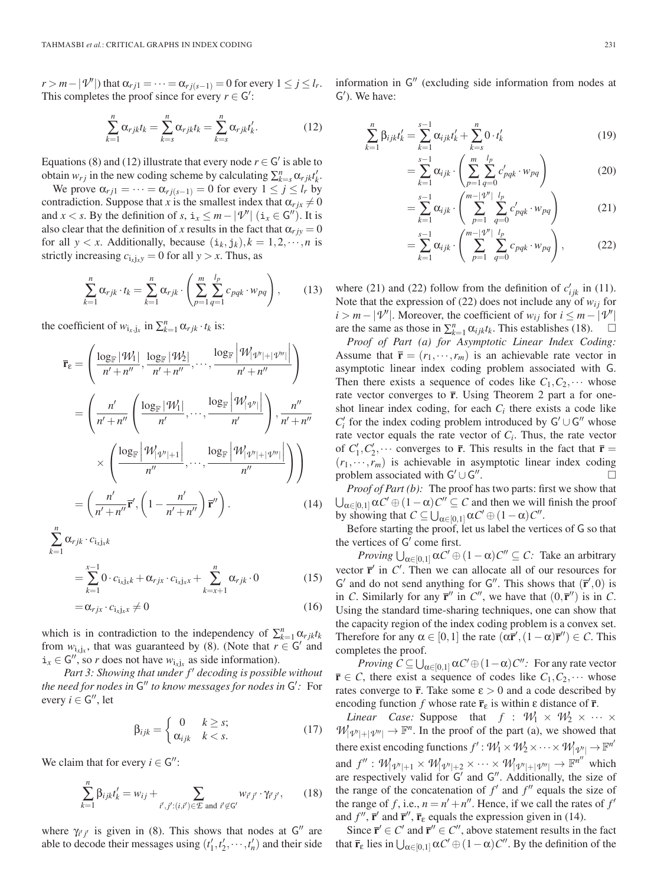$r > m - |\mathcal{V}'|$ ) that  $\alpha_{rj1} = \cdots = \alpha_{rj(s-1)} = 0$  for every  $1 \le j \le l_r$ . This completes the proof since for every  $r \in G'$ :

$$
\sum_{k=1}^{n} \alpha_{rjk} t_k = \sum_{k=s}^{n} \alpha_{rjk} t_k = \sum_{k=s}^{n} \alpha_{rjk} t'_k.
$$
 (12)

Equations (8) and (12) illustrate that every node  $r \in G'$  is able to obtain  $w_{rj}$  in the new coding scheme by calculating  $\sum_{k=s}^{n} \alpha_{rjk} t'_k$ .

We prove  $\alpha_{rj1} = \cdots = \alpha_{rj(s-1)} = 0$  for every  $1 \leq j \leq l_r$  by contradiction. Suppose that *x* is the smallest index that  $\alpha_{rjx} \neq 0$ and *x* < *s*. By the definition of *s*,  $i_x \le m - |\mathcal{V}'|$  ( $i_x \in \mathsf{G}'$ ). It is also clear that the definition of *x* results in the fact that  $\alpha_{r}$  *i* = 0 for all  $y < x$ . Additionally, because  $(i_k, j_k)$ ,  $k = 1, 2, \dots, n$  is strictly increasing  $c_{i_x j_x y} = 0$  for all  $y > x$ . Thus, as

$$
\sum_{k=1}^{n} \alpha_{rjk} \cdot t_k = \sum_{k=1}^{n} \alpha_{rjk} \cdot \left( \sum_{p=1}^{m} \sum_{q=1}^{l_p} c_{pqk} \cdot w_{pq} \right), \qquad (13)
$$

the coefficient of  $w_{i_x,j_x}$  in  $\sum_{k=1}^n \alpha_{rjk} \cdot t_k$  is:

$$
\overline{\mathbf{r}}_{\varepsilon} = \left( \frac{\log_{\mathbb{F}} |\mathcal{W}_{1}|}{n' + n''}, \frac{\log_{\mathbb{F}} |\mathcal{W}_{2}|}{n' + n''}, \dots, \frac{\log_{\mathbb{F}} |\mathcal{W}_{|\mathcal{V}'| + |\mathcal{V}''|}|}{n' + n''} \right)
$$
\n
$$
= \left( \frac{n'}{n' + n''} \left( \frac{\log_{\mathbb{F}} |\mathcal{W}_{1}|}{n'}, \dots, \frac{\log_{\mathbb{F}} |\mathcal{W}_{|\mathcal{V}'|}|}{n'} \right), \frac{n''}{n' + n''}
$$
\n
$$
\times \left( \frac{\log_{\mathbb{F}} |\mathcal{W}_{|\mathcal{V}'| + 1}|}{n''}, \dots, \frac{\log_{\mathbb{F}} |\mathcal{W}_{|\mathcal{V}'| + |\mathcal{V}''|}|}{n''} \right) \right)
$$
\n
$$
= \left( \frac{n'}{n' + n''} \overline{\mathbf{r}}', \left( 1 - \frac{n'}{n' + n''} \right) \overline{\mathbf{r}}'' \right). \tag{14}
$$

$$
\sum_{k=1}^{n} \alpha_{rjk} \cdot c_{i_x j_x k}
$$
\n
$$
= \sum_{k=1}^{x-1} 0 \cdot c_{i_x j_x k} + \alpha_{rj_x} \cdot c_{i_x j_x x} + \sum_{k=x+1}^{n} \alpha_{rjk} \cdot 0 \qquad (15)
$$
\n
$$
= \alpha_{rj_x} \cdot c_{i_x j_x x} \neq 0 \qquad (16)
$$

which is in contradiction to the independency of  $\sum_{k=1}^{n} \alpha_{rjk} t_k$ from  $w_{i_xj_x}$ , that was guaranteed by (8). (Note that  $r \in G'$  and  $i_x \in G''$ , so *r* does not have  $w_{i_x i_x}$  as side information).

*Part 3: Showing that under f decoding is possible without* the need for nodes in  $\mathsf{G}''$  to know messages for nodes in  $\mathsf{G}'$ : For every  $i \in \mathsf{G}^{\prime\prime}$ , let

$$
\beta_{ijk} = \begin{cases} 0 & k \ge s; \\ \alpha_{ijk} & k < s. \end{cases} \tag{17}
$$

We claim that for every  $i \in G''$ :

$$
\sum_{k=1}^{n} \beta_{ijk} t'_k = w_{ij} + \sum_{i',j':(i,i') \in \mathcal{I} \text{ and } i' \notin G'} w_{i'j'} \cdot \gamma_{i'j'}, \qquad (18)
$$

where  $\gamma_{i'j'}$  is given in (8). This shows that nodes at  $G''$  are able to decode their messages using  $(t'_1, t'_2, \dots, t'_n)$  and their side information in  $G''$  (excluding side information from nodes at G ). We have:

$$
\sum_{k=1}^{n} \beta_{ijk} t'_k = \sum_{k=1}^{s-1} \alpha_{ijk} t'_k + \sum_{k=s}^{n} 0 \cdot t'_k
$$
 (19)

$$
= \sum_{k=1}^{s-1} \alpha_{ijk} \cdot \left( \sum_{p=1}^{m} \sum_{q=0}^{l_p} c'_{pqk} \cdot w_{pq} \right) \tag{20}
$$

$$
= \sum_{k=1}^{s-1} \alpha_{ijk} \cdot \left( \sum_{p=1}^{m-|\mathcal{V}'|} \sum_{q=0}^{l_p} c'_{pqk} \cdot w_{pq} \right) \tag{21}
$$

$$
= \sum_{k=1}^{s-1} \alpha_{ijk} \cdot \left( \sum_{p=1}^{m-|\mathcal{V}'|} \sum_{q=0}^{l_p} c_{pqk} \cdot w_{pq} \right), \tag{22}
$$

where (21) and (22) follow from the definition of  $c'_{ijk}$  in (11). Note that the expression of (22) does not include any of  $w_{ij}$  for *i* > *m* − |  $\mathcal{V}'$  |. Moreover, the coefficient of  $w_{ij}$  for  $i \leq m - |\mathcal{V}'|$ are the same as those in  $\sum_{k=1}^{n} \alpha_{ijk} t_k$ . This establishes (18).  $\Box$ 

*Proof of Part (a) for Asymptotic Linear Index Coding:* Assume that  $\mathbf{\bar{r}} = (r_1, \dots, r_m)$  is an achievable rate vector in asymptotic linear index coding problem associated with G. Then there exists a sequence of codes like  $C_1, C_2, \cdots$  whose rate vector converges to  $\bar{r}$ . Using Theorem 2 part a for oneshot linear index coding, for each  $C_i$  there exists a code like  $C_i'$  for the index coding problem introduced by  $G' \cup G''$  whose rate vector equals the rate vector of *Ci*. Thus, the rate vector of  $C_1', C_2', \cdots$  converges to  $\bar{r}$ . This results in the fact that  $\bar{r} =$  $(r_1, \dots, r_m)$  is achievable in asymptotic linear index coding problem associated with  $G' \cup G''$ .

*Proof of Part (b):* The proof has two parts: first we show that  $\bigcup_{\alpha \in [0,1]} \alpha C' \oplus (1 - \alpha) C'' \subseteq C$  and then we will finish the proof by showing that  $C \subseteq \bigcup_{\alpha \in [0,1]} \alpha C' \oplus (1-\alpha)C''$ .

Before starting the proof, let us label the vertices of G so that the vertices of  $G'$  come first.

*Proving*  $\bigcup_{\alpha \in [0,1]} \alpha C' \oplus (1 - \alpha) C'' \subseteq C$ *:* Take an arbitrary vector  $\mathbf{\bar{r}}'$  in  $C'$ . Then we can allocate all of our resources for G' and do not send anything for G". This shows that  $(\mathbf{\bar{r}}',0)$  is in *C*. Similarly for any  $\bar{\mathbf{r}}''$  in *C''*, we have that  $(0, \bar{\mathbf{r}}'')$  is in *C*. Using the standard time-sharing techniques, one can show that the capacity region of the index coding problem is a convex set. Therefore for any  $\alpha \in [0,1]$  the rate  $(\alpha \vec{r}',(1-\alpha)\vec{r}'') \in C$ . This completes the proof.

*Proving*  $C \subseteq \bigcup_{\alpha \in [0,1]} \alpha C' \oplus (1-\alpha)C''$ . For any rate vector **r** ∈ *C*, there exist a sequence of codes like  $C_1$ , $C_2$ ,  $\dots$  whose rates converge to  $\bar{\mathbf{r}}$ . Take some  $\epsilon > 0$  and a code described by encoding function *f* whose rate  $\bar{\mathbf{r}}_e$  is within  $\epsilon$  distance of  $\bar{\mathbf{r}}$ .

*Linear Case:* Suppose that  $f : \mathcal{W}_1 \times \mathcal{W}_2 \times \cdots \times$  $W_{|\psi' + |\psi''|} \to \mathbb{F}^n$ . In the proof of the part (a), we showed that there exist encoding functions  $f': \mathcal{W}_1 \times \mathcal{W}_2 \times \cdots \times \mathcal{W}_{|\mathcal{V}'|} \to \mathbb{F}^{n'}$ and  $f''$ :  $\mathcal{W}_{|\mathcal{V}'|+1} \times \mathcal{W}_{|\mathcal{V}'|+2} \times \cdots \times \mathcal{W}_{|\mathcal{V}'|+|\mathcal{V}''|} \to \mathbb{F}^{n''}$  which are respectively valid for  $G'$  and  $G''$ . Additionally, the size of the range of the concatenation of  $f'$  and  $f''$  equals the size of the range of *f*, i.e.,  $n = n' + n''$ . Hence, if we call the rates of  $f'$ and  $f''$ ,  $\bar{\mathbf{r}}'$  and  $\bar{\mathbf{r}}''$ ,  $\bar{\mathbf{r}}_g$  equals the expression given in (14).

Since  $\bar{\mathbf{r}}' \in \mathcal{C}'$  and  $\bar{\mathbf{r}}'' \in \mathcal{C}''$ , above statement results in the fact that  $\bar{\mathbf{r}}_{\varepsilon}$  lies in  $\bigcup_{\alpha \in [0,1]} \alpha C' \oplus (1 - \alpha) C''$ . By the definition of the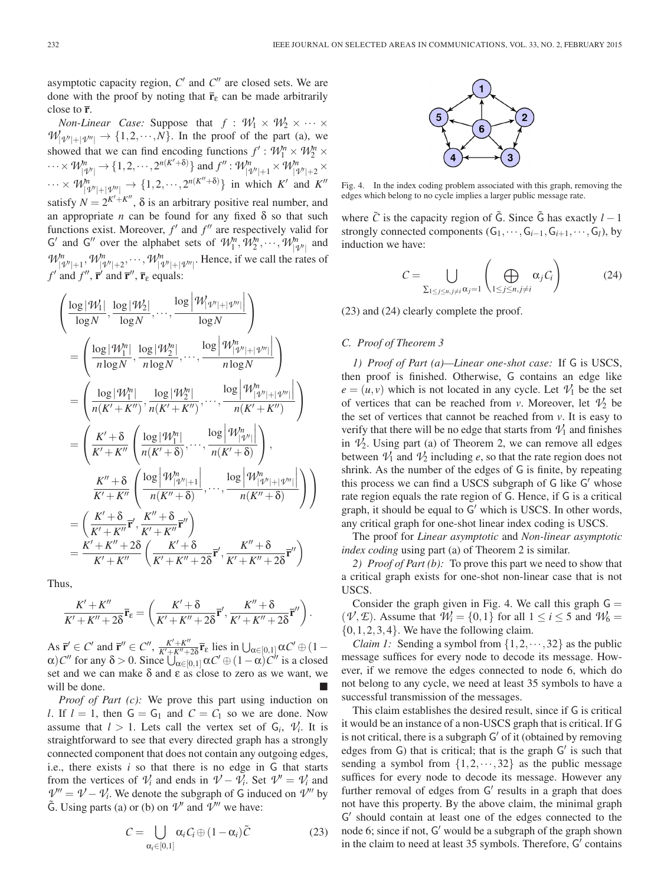asymptotic capacity region,  $C'$  and  $C''$  are closed sets. We are done with the proof by noting that  $\bar{\mathbf{r}}_{\varepsilon}$  can be made arbitrarily close to **r**.

*Non-Linear Case:* Suppose that  $f : \mathcal{W}_1 \times \mathcal{W}_2 \times \cdots \times$  $W_{|\mathcal{V}'|+|\mathcal{V}''|} \rightarrow \{1,2,\dots,N\}$ . In the proof of the part (a), we showed that we can find encoding functions  $f' : \mathcal{W}_1^n \times \mathcal{W}_2^n \times$  $\dots \times W^{n}_{|\mathcal{V}'|} \rightarrow \{1, 2, \dots, 2^{n(K'+\delta)}\}$  and  $f'' : \mathcal{W}^{n}_{|\mathcal{V}'|+1} \times \mathcal{W}^{n}_{|\mathcal{V}'|+2} \times$  $\cdots \times W_{|\mathcal{V}'|+|\mathcal{V}''|}^n \rightarrow \{1, 2, \cdots, 2^{n(K''+\delta)}\}$  in which K' and K'' satisfy  $N = 2^{K'+K''}$ ,  $\delta$  is an arbitrary positive real number, and an appropriate *n* can be found for any fixed  $\delta$  so that such functions exist. Moreover,  $f'$  and  $f''$  are respectively valid for G' and G'' over the alphabet sets of  $\mathcal{W}_1^n, \mathcal{W}_2^n, \dots, \mathcal{W}_{|\mathcal{V}'|}^n$  and  $W_{|\mathcal{V}'|+1}^n, \mathcal{W}_{|\mathcal{V}'|+2}^n, \cdots, \mathcal{W}_{|\mathcal{V}'|+|\mathcal{V}''|}^n$ . Hence, if we call the rates of *f'* and  $f''$ ,  $\overline{r}'$  and  $\overline{r}''$ ,  $\overline{r}_e$  equals:

$$
\begin{split}\n&\left(\frac{\log |\mathcal{W}_1|}{\log N}, \frac{\log |\mathcal{W}_2|}{\log N}, \dots, \frac{\log |\mathcal{W}_{|\mathcal{V}'|+|\mathcal{V}''|}}{\log N}\right) \\
&= \left(\frac{\log |\mathcal{W}_1^n|}{n \log N}, \frac{\log |\mathcal{W}_2^n|}{n \log N}, \dots, \frac{\log |\mathcal{W}_{|\mathcal{V}'|+|\mathcal{V}''|}^n|}{n \log N}\right) \\
&= \left(\frac{\log |\mathcal{W}_1^n|}{n(K' + K'')}, \frac{\log |\mathcal{W}_2^n|}{n(K' + K'')}, \dots, \frac{\log |\mathcal{W}_{|\mathcal{V}'|+|\mathcal{V}''|}^n|}{n(K' + K'')}\right) \\
&= \left(\frac{K' + \delta}{K' + K''}\left(\frac{\log |\mathcal{W}_1^n|}{n(K' + \delta)}, \dots, \frac{\log |\mathcal{W}_{|\mathcal{V}'|}^n|}{n(K' + \delta)}\right), \\
&\frac{K'' + \delta}{K' + K''}\left(\frac{\log |\mathcal{W}_{|\mathcal{V}'|+1}^n|}{n(K'' + \delta)}, \dots, \frac{\log |\mathcal{W}_{|\mathcal{V}'|+|\mathcal{V}''|}^n|}{n(K'' + \delta)}\right)\right) \\
&= \left(\frac{K' + \delta}{K' + K''}, \frac{K'' + \delta}{K' + K''}, \frac{K''}{K''}\right) \\
&= \frac{K' + K'' + 2\delta}{K' + K''} \left(\frac{K' + \delta}{K' + K'' + 2\delta} \mathbf{F}', \frac{K'' + \delta}{K' + K'' + 2\delta} \mathbf{F}''\right)\n\end{split}
$$

Thus,

$$
\frac{K' + K''}{K' + K'' + 2\delta} \overline{\mathbf{r}}_{\varepsilon} = \left( \frac{K' + \delta}{K' + K'' + 2\delta} \overline{\mathbf{r}}', \frac{K'' + \delta}{K' + K'' + 2\delta} \overline{\mathbf{r}}'' \right).
$$

 $\overline{A}$   $\overline{R}$   $\overline{R}$   $\in$   $C'$  and  $\overline{R}$   $\overline{R}$   $\overline{R}$   $\overline{R}$  are  $\overline{R}$  are  $\overline{R}$  and  $\overline{R}$   $\overline{R}$  and  $\overline{R}$   $\overline{R}$  and  $\overline{R}$   $\overline{R}$  and  $\overline{R}$   $\overline{R}$  and  $\overline{R}$   $\overline{R}$  and  $\overline$  $\alpha$ )*C*" for any  $\delta > 0$ . Since  $\bigcup_{\alpha \in [0,1]}^{\infty} \alpha C' \oplus (1 - \alpha) C''$  is a closed set and we can make  $\delta$  and  $\varepsilon$  as close to zero as we want, we will be done.

*Proof of Part (c):* We prove this part using induction on *l*. If  $l = 1$ , then  $G = G_1$  and  $C = C_1$  so we are done. Now assume that  $l > 1$ . Lets call the vertex set of  $G_i$ ,  $V_i$ . It is straightforward to see that every directed graph has a strongly connected component that does not contain any outgoing edges, i.e., there exists *i* so that there is no edge in G that starts from the vertices of  $V_i$  and ends in  $V - V_i$ . Set  $V' = V_i$  and  $V'' = V - V_i$ . We denote the subgraph of G induced on  $V''$  by  $\tilde{G}$ . Using parts (a) or (b) on  $\mathcal{V}'$  and  $\mathcal{V}''$  we have:

$$
C = \bigcup_{\alpha_i \in [0,1]} \alpha_i C_i \oplus (1 - \alpha_i) \tilde{C}
$$
 (23)



Fig. 4. In the index coding problem associated with this graph, removing the edges which belong to no cycle implies a larger public message rate.

where  $\tilde{C}$  is the capacity region of  $\tilde{G}$ . Since  $\tilde{G}$  has exactly  $l - 1$ strongly connected components  $(G_1, \dots, G_{i-1}, G_{i+1}, \dots, G_l)$ , by induction we have:

$$
C = \bigcup_{\sum_{1 \le j \le n, j \ne i} \alpha_j = 1} \left( \bigoplus_{1 \le j \le n, j \ne i} \alpha_j C_i \right) \tag{24}
$$

(23) and (24) clearly complete the proof.

## *C. Proof of Theorem 3*

*1) Proof of Part (a)—Linear one-shot case:* If G is USCS, then proof is finished. Otherwise, G contains an edge like  $e = (u, v)$  which is not located in any cycle. Let  $V_1$  be the set of vertices that can be reached from *v*. Moreover, let  $\mathcal{V}_2$  be the set of vertices that cannot be reached from *v*. It is easy to verify that there will be no edge that starts from  $\mathcal{V}_1$  and finishes in  $\mathcal{V}_2$ . Using part (a) of Theorem 2, we can remove all edges between  $V_1$  and  $V_2$  including *e*, so that the rate region does not shrink. As the number of the edges of G is finite, by repeating this process we can find a USCS subgraph of  $G$  like  $G'$  whose rate region equals the rate region of G. Hence, if G is a critical graph, it should be equal to  $G'$  which is USCS. In other words, any critical graph for one-shot linear index coding is USCS.

The proof for *Linear asymptotic* and *Non-linear asymptotic index coding* using part (a) of Theorem 2 is similar.

*2) Proof of Part (b):* To prove this part we need to show that a critical graph exists for one-shot non-linear case that is not USCS.

Consider the graph given in Fig. 4. We call this graph  $G =$ ( $\mathcal{V}, \mathcal{E}$ ). Assume that  $\mathcal{W}_i = \{0, 1\}$  for all  $1 \leq i \leq 5$  and  $\mathcal{W}_6 =$  ${0, 1, 2, 3, 4}$ . We have the following claim.

*Claim 1:* Sending a symbol from  $\{1, 2, \dots, 32\}$  as the public message suffices for every node to decode its message. However, if we remove the edges connected to node 6, which do not belong to any cycle, we need at least 35 symbols to have a successful transmission of the messages.

This claim establishes the desired result, since if G is critical it would be an instance of a non-USCS graph that is critical. If G is not critical, there is a subgraph  $G'$  of it (obtained by removing edges from  $G$ ) that is critical; that is the graph  $G'$  is such that sending a symbol from  $\{1, 2, \dots, 32\}$  as the public message suffices for every node to decode its message. However any further removal of edges from  $G'$  results in a graph that does not have this property. By the above claim, the minimal graph  $G'$  should contain at least one of the edges connected to the node 6; since if not, G' would be a subgraph of the graph shown in the claim to need at least 35 symbols. Therefore,  $G'$  contains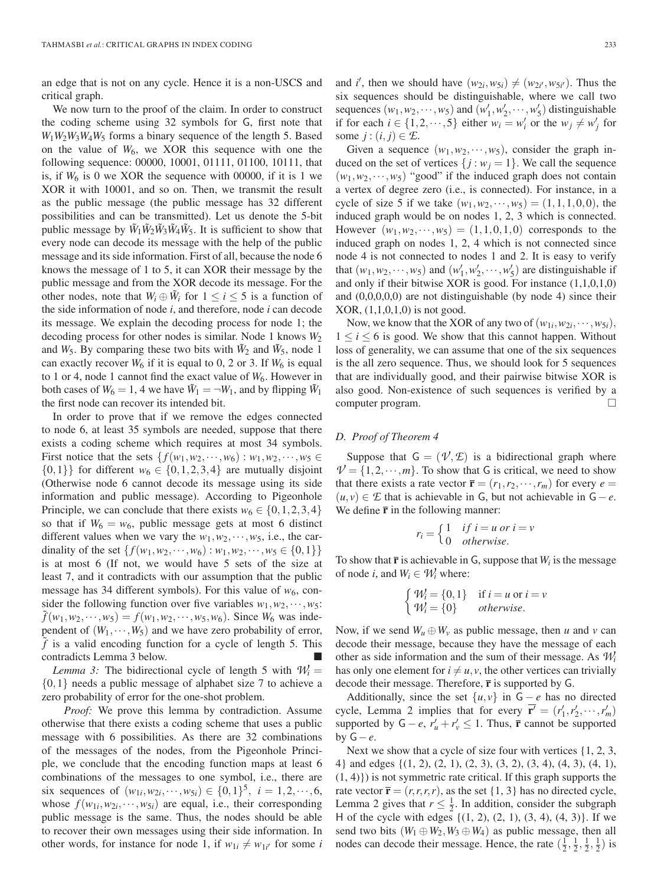an edge that is not on any cycle. Hence it is a non-USCS and critical graph.

We now turn to the proof of the claim. In order to construct the coding scheme using 32 symbols for G, first note that  $W_1W_2W_3W_4W_5$  forms a binary sequence of the length 5. Based on the value of  $W_6$ , we XOR this sequence with one the following sequence: 00000, 10001, 01111, 01100, 10111, that is, if  $W_6$  is 0 we XOR the sequence with 00000, if it is 1 we XOR it with 10001, and so on. Then, we transmit the result as the public message (the public message has 32 different possibilities and can be transmitted). Let us denote the 5-bit public message by  $W_1W_2W_3W_4W_5$ . It is sufficient to show that every node can decode its message with the help of the public message and its side information. First of all, because the node 6 knows the message of 1 to 5, it can XOR their message by the public message and from the XOR decode its message. For the other nodes, note that  $W_i \oplus \tilde{W}_i$  for  $1 \leq i \leq 5$  is a function of the side information of node *i*, and therefore, node *i* can decode its message. We explain the decoding process for node 1; the decoding process for other nodes is similar. Node 1 knows *W*<sup>2</sup> and  $W_5$ . By comparing these two bits with  $\tilde{W}_2$  and  $\tilde{W}_5$ , node 1 can exactly recover  $W_6$  if it is equal to 0, 2 or 3. If  $W_6$  is equal to 1 or 4, node 1 cannot find the exact value of  $W_6$ . However in both cases of  $W_6 = 1$ , 4 we have  $\tilde{W}_1 = \neg W_1$ , and by flipping  $\tilde{W}_1$ the first node can recover its intended bit.

In order to prove that if we remove the edges connected to node 6, at least 35 symbols are needed, suppose that there exists a coding scheme which requires at most 34 symbols. First notice that the sets  $\{f(w_1, w_2, \dots, w_6) : w_1, w_2, \dots, w_5 \in$  $\{0,1\}$  for different  $w_6 \in \{0,1,2,3,4\}$  are mutually disjoint (Otherwise node 6 cannot decode its message using its side information and public message). According to Pigeonhole Principle, we can conclude that there exists  $w_6 \in \{0, 1, 2, 3, 4\}$ so that if  $W_6 = w_6$ , public message gets at most 6 distinct different values when we vary the  $w_1, w_2, \dots, w_5$ , i.e., the cardinality of the set  $\{f(w_1, w_2, \dots, w_6) : w_1, w_2, \dots, w_5 \in \{0, 1\}\}\$ is at most 6 (If not, we would have 5 sets of the size at least 7, and it contradicts with our assumption that the public message has 34 different symbols). For this value of  $w_6$ , consider the following function over five variables  $w_1, w_2, \dots, w_5$ :<br> $\tilde{f}(w_1, w_2, \dots, w_5) = f(w_1, w_2, \dots, w_5, w_6)$ . Since  $W_6$  was independent of  $(W_1, \dots, W_5)$  and we have zero probability of error,  $\tilde{f}$  is a valid encoding function for a cycle of length 5. This contradicts Lemma 3 below.

*Lemma 3:* The bidirectional cycle of length 5 with  $W_i =$ {0,1} needs a public message of alphabet size 7 to achieve a zero probability of error for the one-shot problem.

*Proof:* We prove this lemma by contradiction. Assume otherwise that there exists a coding scheme that uses a public message with 6 possibilities. As there are 32 combinations of the messages of the nodes, from the Pigeonhole Principle, we conclude that the encoding function maps at least 6 combinations of the messages to one symbol, i.e., there are six sequences of  $(w_{1i}, w_{2i}, \dots, w_{5i}) \in \{0, 1\}^5$ ,  $i = 1, 2, \dots, 6$ , whose  $f(w_{1i}, w_{2i}, \dots, w_{5i})$  are equal, i.e., their corresponding public message is the same. Thus, the nodes should be able to recover their own messages using their side information. In other words, for instance for node 1, if  $w_{1i} \neq w_{1i'}$  for some *i* 

and *i'*, then we should have  $(w_{2i}, w_{5i}) \neq (w_{2i'}, w_{5i'})$ . Thus the six sequences should be distinguishable, where we call two sequences  $(w_1, w_2, \dots, w_5)$  and  $(w'_1, w'_2, \dots, w'_5)$  distinguishable if for each  $i \in \{1, 2, \dots, 5\}$  either  $w_i = w'_i$  or the  $w_j \neq w'_j$  for some  $j : (i, j) \in \mathcal{E}$ .

Given a sequence  $(w_1, w_2, \dots, w_5)$ , consider the graph induced on the set of vertices  $\{j : w_j = 1\}$ . We call the sequence  $(w_1, w_2, \dots, w_5)$  "good" if the induced graph does not contain a vertex of degree zero (i.e., is connected). For instance, in a cycle of size 5 if we take  $(w_1, w_2, \dots, w_5) = (1, 1, 1, 0, 0)$ , the induced graph would be on nodes 1, 2, 3 which is connected. However  $(w_1, w_2, \dots, w_5) = (1, 1, 0, 1, 0)$  corresponds to the induced graph on nodes 1, 2, 4 which is not connected since node 4 is not connected to nodes 1 and 2. It is easy to verify that  $(w_1, w_2, \dots, w_5)$  and  $(w'_1, w'_2, \dots, w'_5)$  are distinguishable if and only if their bitwise XOR is good. For instance  $(1,1,0,1,0)$ and  $(0,0,0,0,0)$  are not distinguishable (by node 4) since their XOR, (1,1,0,1,0) is not good.

Now, we know that the XOR of any two of  $(w_{1i}, w_{2i}, \dots, w_{5i})$ ,  $1 \leq i \leq 6$  is good. We show that this cannot happen. Without loss of generality, we can assume that one of the six sequences is the all zero sequence. Thus, we should look for 5 sequences that are individually good, and their pairwise bitwise XOR is also good. Non-existence of such sequences is verified by a computer program.

## *D. Proof of Theorem 4*

Suppose that  $G = (\mathcal{V}, \mathcal{E})$  is a bidirectional graph where  $V = \{1, 2, \dots, m\}$ . To show that G is critical, we need to show that there exists a rate vector  $\mathbf{\bar{r}} = (r_1, r_2, \dots, r_m)$  for every  $e =$  $(u, v)$  ∈ *E* that is achievable in G, but not achievable in G – *e*. We define  $\bar{\mathbf{r}}$  in the following manner:

$$
r_i = \begin{cases} 1 & if \ i = u \ or \ i = v \\ 0 & otherwise. \end{cases}
$$

To show that  $\bar{\mathbf{r}}$  is achievable in  $\mathbf{G}$ , suppose that  $W_i$  is the message of node *i*, and  $W_i \in \mathcal{W}_i$  where:

$$
\begin{cases} \mathcal{W}_i = \{0, 1\} & \text{if } i = u \text{ or } i = v \\ \mathcal{W}_i = \{0\} & otherwise. \end{cases}
$$

Now, if we send  $W_u \oplus W_v$  as public message, then *u* and *v* can decode their message, because they have the message of each other as side information and the sum of their message. As *W<sup>i</sup>* has only one element for  $i \neq u, v$ , the other vertices can trivially decode their message. Therefore, **r** is supported by G.

Additionally, since the set  $\{u, v\}$  in  $G - e$  has no directed cycle, Lemma 2 implies that for every  $\mathbf{r}' = (r'_1, r'_2, \dots, r'_m)$ supported by  $G - e$ ,  $r'_u + r'_v \le 1$ . Thus,  $\bar{r}$  cannot be supported by G−*e*.

Next we show that a cycle of size four with vertices {1, 2, 3, 4} and edges {(1, 2), (2, 1), (2, 3), (3, 2), (3, 4), (4, 3), (4, 1),  $(1, 4)$ }) is not symmetric rate critical. If this graph supports the rate vector  $\mathbf{\bar{r}} = (r, r, r, r)$ , as the set {1, 3} has no directed cycle, Lemma 2 gives that  $r \leq \frac{1}{2}$ . In addition, consider the subgraph H of the cycle with edges  $\{(1, 2), (2, 1), (3, 4), (4, 3)\}$ . If we send two bits  $(W_1 \oplus W_2, W_3 \oplus W_4)$  as public message, then all nodes can decode their message. Hence, the rate  $(\frac{1}{2}, \frac{1}{2}, \frac{1}{2}, \frac{1}{2})$  is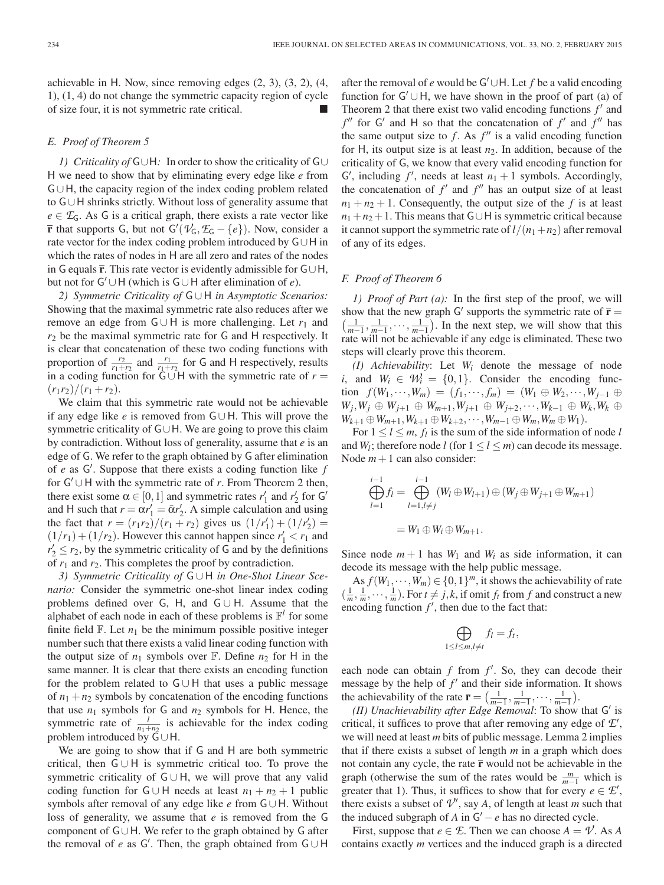achievable in H. Now, since removing edges (2, 3), (3, 2), (4, 1), (1, 4) do not change the symmetric capacity region of cycle of size four, it is not symmetric rate critical. -

## *E. Proof of Theorem 5*

*1) Criticality of* G∪H: In order to show the criticality of G∪ H we need to show that by eliminating every edge like *e* from G∪ H, the capacity region of the index coding problem related to G∪H shrinks strictly. Without loss of generality assume that  $e \in \mathcal{E}_G$ . As G is a critical graph, there exists a rate vector like **r** that supports G, but not  $G'(\mathcal{V}_G, \mathcal{E}_G - \{e\})$ . Now, consider a rate vector for the index coding problem introduced by G∪H in which the rates of nodes in H are all zero and rates of the nodes in G equals **r**. This rate vector is evidently admissible for G∪H, but not for G'∪H (which is G∪H after elimination of *e*).

*2) Symmetric Criticality of* G∪ H *in Asymptotic Scenarios:* Showing that the maximal symmetric rate also reduces after we remove an edge from  $G ∪ H$  is more challenging. Let  $r_1$  and *r*<sup>2</sup> be the maximal symmetric rate for G and H respectively. It is clear that concatenation of these two coding functions with proportion of  $\frac{r_2}{r_1+r_2}$  and  $\frac{r_1}{r_1+r_2}$  for G and H respectively, results in a coding function for  $G \cup H$  with the symmetric rate of  $r =$  $(r_1r_2)/(r_1+r_2).$ 

We claim that this symmetric rate would not be achievable if any edge like *e* is removed from G∪ H. This will prove the symmetric criticality of G∪H. We are going to prove this claim by contradiction. Without loss of generality, assume that *e* is an edge of G. We refer to the graph obtained by G after elimination of *e* as G . Suppose that there exists a coding function like *f* for  $G' \cup H$  with the symmetric rate of *r*. From Theorem 2 then, there exist some  $\alpha \in [0,1]$  and symmetric rates  $r'_1$  and  $r'_2$  for  $G'$ and H such that  $r = \alpha r_1' = \bar{\alpha} r_2'$ . A simple calculation and using the fact that  $r = (r_1 r_2)/(r_1 + r_2)$  gives us  $(1/r'_1) + (1/r'_2) =$  $(1/r_1)+(1/r_2)$ . However this cannot happen since  $r'_1 < r_1$  and  $r'_2 \le r_2$ , by the symmetric criticality of G and by the definitions of *r*<sup>1</sup> and *r*2. This completes the proof by contradiction.

*3) Symmetric Criticality of* G ∪ H *in One-Shot Linear Scenario:* Consider the symmetric one-shot linear index coding problems defined over G, H, and  $G \cup H$ . Assume that the alphabet of each node in each of these problems is  $\mathbb{F}^l$  for some finite field  $\mathbb{F}$ . Let  $n_1$  be the minimum possible positive integer number such that there exists a valid linear coding function with the output size of  $n_1$  symbols over  $\mathbb F$ . Define  $n_2$  for H in the same manner. It is clear that there exists an encoding function for the problem related to  $G \cup H$  that uses a public message of  $n_1 + n_2$  symbols by concatenation of the encoding functions that use  $n_1$  symbols for G and  $n_2$  symbols for H. Hence, the symmetric rate of  $\frac{l}{n_1+n_2}$  is achievable for the index coding problem introduced by G∪H.

We are going to show that if G and H are both symmetric critical, then  $G \cup H$  is symmetric critical too. To prove the symmetric criticality of  $G \cup H$ , we will prove that any valid coding function for  $G \cup H$  needs at least  $n_1 + n_2 + 1$  public symbols after removal of any edge like *e* from G∪ H. Without loss of generality, we assume that *e* is removed from the G component of G∪ H. We refer to the graph obtained by G after the removal of *e* as  $G'$ . Then, the graph obtained from  $G \cup H$ 

after the removal of *e* would be G ∪H. Let *f* be a valid encoding function for  $G' \cup H$ , we have shown in the proof of part (a) of Theorem 2 that there exist two valid encoding functions  $f'$  and  $f''$  for G' and H so that the concatenation of  $f'$  and  $f''$  has the same output size to  $f$ . As  $f''$  is a valid encoding function for H, its output size is at least *n*2. In addition, because of the criticality of G, we know that every valid encoding function for G', including  $f'$ , needs at least  $n_1 + 1$  symbols. Accordingly, the concatenation of  $f'$  and  $f''$  has an output size of at least  $n_1 + n_2 + 1$ . Consequently, the output size of the *f* is at least  $n_1 + n_2 + 1$ . This means that G∪H is symmetric critical because it cannot support the symmetric rate of  $l/(n_1+n_2)$  after removal of any of its edges.

## *F. Proof of Theorem 6*

*1) Proof of Part (a):* In the first step of the proof, we will show that the new graph G' supports the symmetric rate of  $\bar{\mathbf{r}} =$  $\left(\frac{1}{m-1}, \frac{1}{m-1}, \cdots, \frac{1}{m-1}\right)$ . In the next step, we will show that this rate will not be achievable if any edge is eliminated. These two steps will clearly prove this theorem.

*(I) Achievability*: Let *Wi* denote the message of node *i*, and  $W_i \in W_i = \{0, 1\}$ . Consider the encoding function  $f(W_1, \dots, W_m) = (f_1, \dots, f_m) = (W_1 ⊕ W_2, \dots, W_{j-1} ⊕$ *W*<sub>*j*</sub>,*W*<sub>*j*</sub> ⊕ *W*<sub>*j*+1</sub> ⊕ *W*<sub>*m*+1</sub>,*W*<sub>*j*+1</sub> ⊕ *W*<sub>*j*+2</sub>, ···,*W*<sub>*k*−1</sub> ⊕ *W*<sub>*k*</sub>, *W*<sub>*k*</sub> ⊕  $W_{k+1} \oplus W_{m+1}, W_{k+1} \oplus W_{k+2}, \cdots, W_{m-1} \oplus W_m, W_m \oplus W_1$ .

For  $1 \leq l \leq m$ ,  $f_l$  is the sum of the side information of node *l* and *W<sub>l</sub>*; therefore node *l* (for  $1 \le l \le m$ ) can decode its message. Node *m*+1 can also consider:

$$
\bigoplus_{l=1}^{i-1} f_l = \bigoplus_{l=1, l \neq j}^{i-1} (W_l \oplus W_{l+1}) \oplus (W_j \oplus W_{j+1} \oplus W_{m+1})
$$
  
=  $W_1 \oplus W_i \oplus W_{m+1}$ .

Since node  $m + 1$  has  $W_1$  and  $W_i$  as side information, it can decode its message with the help public message.

As  $f(W_1, \dots, W_m) \in \{0, 1\}^m$ , it shows the achievability of rate  $(\frac{1}{m}, \frac{1}{m}, \dots, \frac{1}{m})$ . For  $t \neq j, k$ , if omit  $f_t$  from  $f$  and construct a new encoding function  $f'$ , then due to the fact that:

$$
\bigoplus_{1\leq l\leq m,l\neq t}f_l=f_t,
$$

each node can obtain  $f$  from  $f'$ . So, they can decode their message by the help of  $f'$  and their side information. It shows the achievability of the rate  $\bar{\mathbf{r}} = (\frac{1}{m-1}, \frac{1}{m-1}, \dots, \frac{1}{m-1})$ .

*(II) Unachievability after Edge Removal: To show that G' is* critical, it suffices to prove that after removing any edge of *E* , we will need at least *m* bits of public message. Lemma 2 implies that if there exists a subset of length *m* in a graph which does not contain any cycle, the rate  $\bar{\mathbf{r}}$  would not be achievable in the graph (otherwise the sum of the rates would be  $\frac{m}{m-1}$  which is greater that 1). Thus, it suffices to show that for every  $e \in \mathcal{L}'$ , there exists a subset of  $\mathcal{V}'$ , say *A*, of length at least *m* such that the induced subgraph of *A* in  $G' - e$  has no directed cycle.

First, suppose that  $e \in \mathcal{E}$ . Then we can choose  $A = \mathcal{V}$ . As *A* contains exactly *m* vertices and the induced graph is a directed